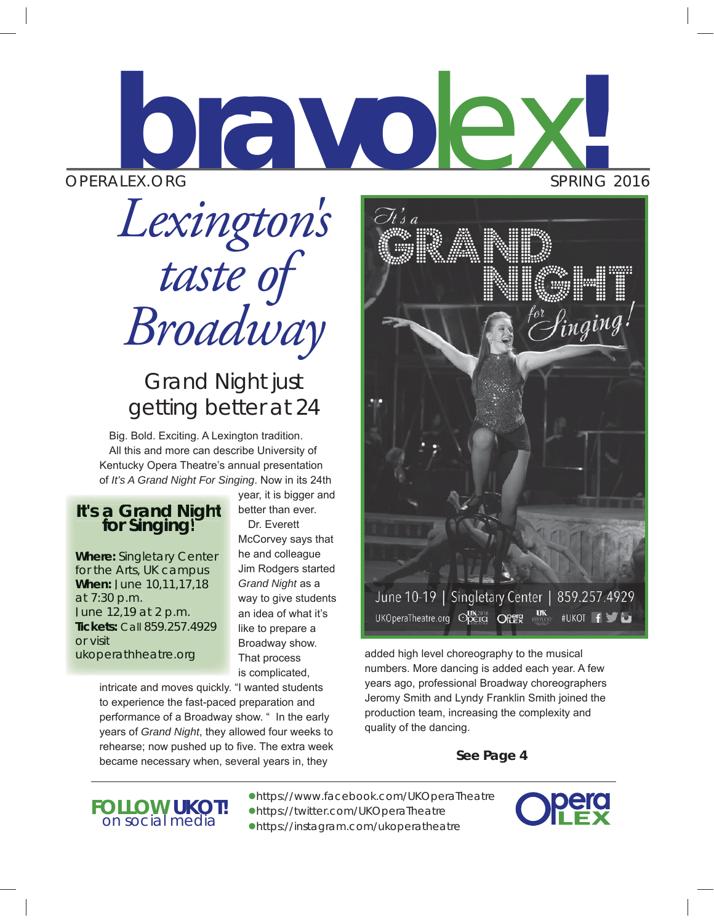# OPERALEX.ORG SPRING 2016 **bravo**lex**!**

*Lexington's taste of Broadway*

## *Grand Night* just getting better at 24

Big. Bold. Exciting. A Lexington tradition. All this and more can describe University of Kentucky Opera Theatre's annual presentation of *It's A Grand Night For Singing*. Now in its 24th

## *<i>It's a Grand Night*<br>for Singing!

**Where:** Singletary Center for the Arts, UK campus **When:** June 10,11,17,18 at 7:30 p.m. June 12,19 at 2 p.m. **Tickets:** Call 859.257.4929 or visit ukoperathheatre.org

year, it is bigger and better than ever. Dr. Everett McCorvey says that he and colleague Jim Rodgers started *Grand Night* as a way to give students an idea of what it's like to prepare a

Broadway show. That process is complicated,

intricate and moves quickly. "I wanted students to experience the fast-paced preparation and performance of a Broadway show. " In the early years of *Grand Night*, they allowed four weeks to rehearse; now pushed up to five. The extra week became necessary when, several years in, they

June 10-19 | Singletary Center | 859.257.4929 UKOperaTheatre.org Cpera OPER **#UKOT f** 

added high level choreography to the musical numbers. More dancing is added each year. A few years ago, professional Broadway choreographers Jeromy Smith and Lyndy Franklin Smith joined the production team, increasing the complexity and quality of the dancing.

**See Page 4**



 $\bullet$ https://www.facebook.com/UKOperaTheatre **FOLLOW UKOT!**<br> *InsteraTheatre on social media* **a**nttps://instagram.com/ukoperatheatre



 $\mathscr{S}_{\textit{imging}}$  !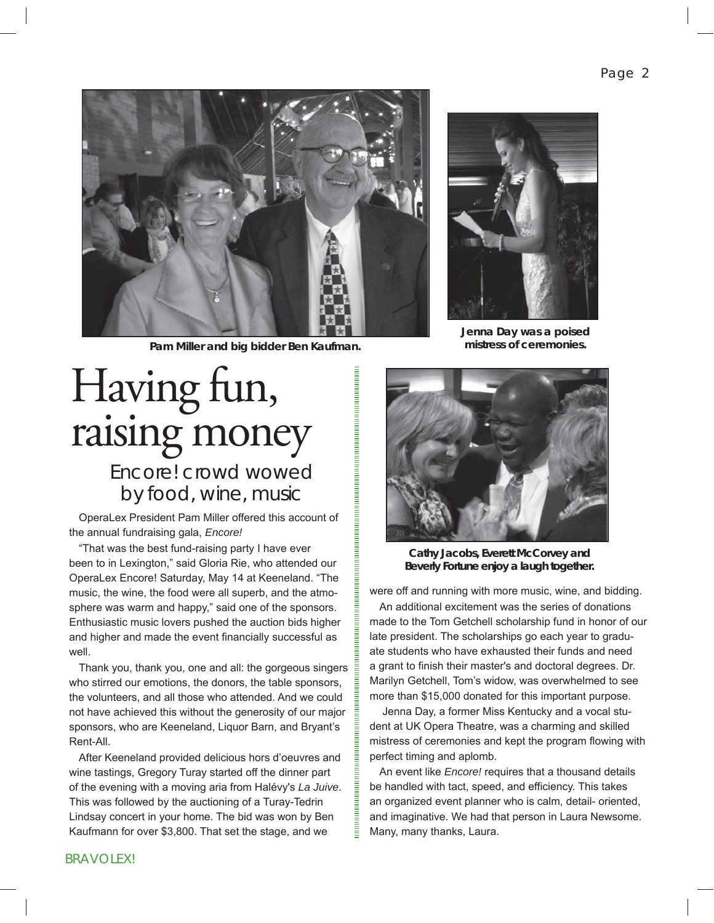

**Pam Miller and big bidder Ben Kaufman.**

# Having fun, raising money

*Encore!* crowd wowed by food, wine, music

OperaLex President Pam Miller offered this account of the annual fundraising gala, *Encore!*

"That was the best fund-raising party I have ever been to in Lexington," said Gloria Rie, who attended our OperaLex Encore! Saturday, May 14 at Keeneland. "The music, the wine, the food were all superb, and the atmosphere was warm and happy," said one of the sponsors. Enthusiastic music lovers pushed the auction bids higher and higher and made the event financially successful as well.

Thank you, thank you, one and all: the gorgeous singers who stirred our emotions, the donors, the table sponsors, the volunteers, and all those who attended. And we could not have achieved this without the generosity of our major sponsors, who are Keeneland, Liquor Barn, and Bryant's Rent-All.

After Keeneland provided delicious hors d'oeuvres and wine tastings, Gregory Turay started off the dinner part of the evening with a moving aria from Halévy's *La Juive*. This was followed by the auctioning of a Turay-Tedrin Lindsay concert in your home. The bid was won by Ben Kaufmann for over \$3,800. That set the stage, and we



**Jenna Day was a poised mistress of ceremonies.**



**Cathy Jacobs, Everett McCorvey and Beverly Fortune enjoy a laugh together.**

were off and running with more music, wine, and bidding.

An additional excitement was the series of donations made to the Tom Getchell scholarship fund in honor of our late president. The scholarships go each year to graduate students who have exhausted their funds and need a grant to finish their master's and doctoral degrees. Dr. Marilyn Getchell, Tom's widow, was overwhelmed to see more than \$15,000 donated for this important purpose.

 Jenna Day, a former Miss Kentucky and a vocal student at UK Opera Theatre, was a charming and skilled mistress of ceremonies and kept the program flowing with perfect timing and aplomb.

An event like *Encore!* requires that a thousand details be handled with tact, speed, and efficiency. This takes an organized event planner who is calm, detail- oriented, and imaginative. We had that person in Laura Newsome. Many, many thanks, Laura.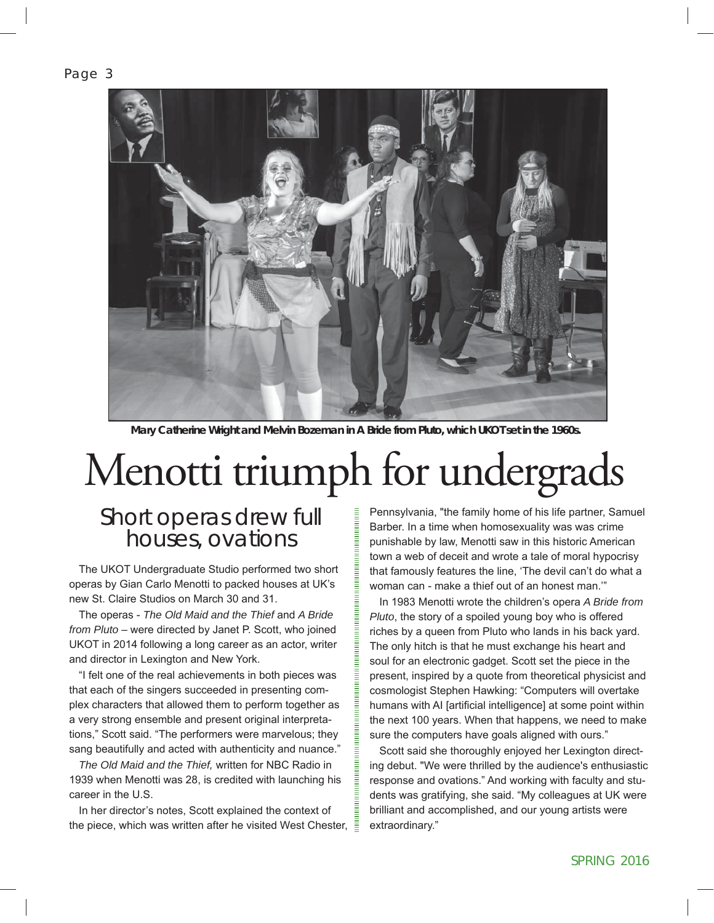Page 3



**Mary Catherine Wright and Melvin Bozeman in** *A Bride from Pluto,* **which UKOT set in the 1960s.**

# Menotti triumph for undergrads

*Short operas drew full houses, ovations*

The UKOT Undergraduate Studio performed two short operas by Gian Carlo Menotti to packed houses at UK's new St. Claire Studios on March 30 and 31.

The operas - *The Old Maid and the Thief* and *A Bride from Pluto* – were directed by Janet P. Scott, who joined UKOT in 2014 following a long career as an actor, writer and director in Lexington and New York.

"I felt one of the real achievements in both pieces was that each of the singers succeeded in presenting complex characters that allowed them to perform together as a very strong ensemble and present original interpretations," Scott said. "The performers were marvelous; they sang beautifully and acted with authenticity and nuance."

*The Old Maid and the Thief,* written for NBC Radio in 1939 when Menotti was 28, is credited with launching his career in the U.S.

In her director's notes, Scott explained the context of the piece, which was written after he visited West Chester,  $\bar{\bar{\bar{z}}}$ 

Pennsylvania, "the family home of his life partner, Samuel Barber. In a time when homosexuality was was crime punishable by law, Menotti saw in this historic American town a web of deceit and wrote a tale of moral hypocrisy that famously features the line, 'The devil can't do what a woman can - make a thief out of an honest man.'"

In 1983 Menotti wrote the children's opera *A Bride from Pluto*, the story of a spoiled young boy who is offered riches by a queen from Pluto who lands in his back yard. The only hitch is that he must exchange his heart and soul for an electronic gadget. Scott set the piece in the present, inspired by a quote from theoretical physicist and cosmologist Stephen Hawking: "Computers will overtake humans with AI [artificial intelligence] at some point within the next 100 years. When that happens, we need to make sure the computers have goals aligned with ours."

Scott said she thoroughly enjoyed her Lexington directing debut. "We were thrilled by the audience's enthusiastic response and ovations." And working with faculty and students was gratifying, she said. "My colleagues at UK were brilliant and accomplished, and our young artists were extraordinary."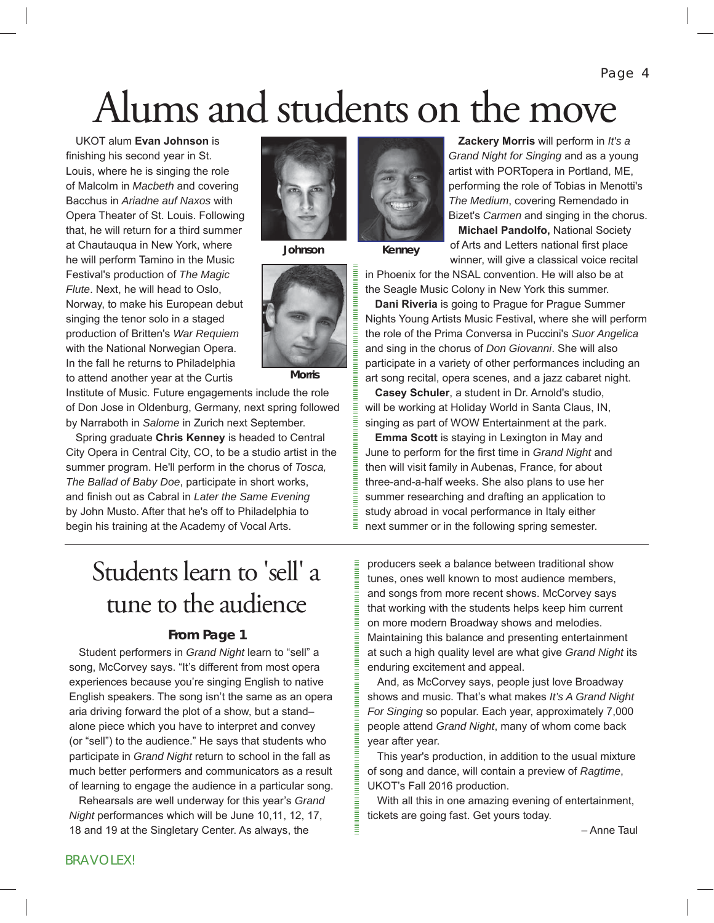Page 4

# Alums and students on the move

UKOT alum **Evan Johnson** is finishing his second year in St. Louis, where he is singing the role of Malcolm in *Macbeth* and covering Bacchus in *Ariadne auf Naxos* with Opera Theater of St. Louis. Following that, he will return for a third summer at Chautauqua in New York, where he will perform Tamino in the Music Festival's production of *The Magic Flute*. Next, he will head to Oslo, Norway, to make his European debut singing the tenor solo in a staged production of Britten's *War Requiem* with the National Norwegian Opera. In the fall he returns to Philadelphia to attend another year at the Curtis

![](_page_3_Picture_3.jpeg)

**Morris**

Ξ

![](_page_3_Picture_5.jpeg)

**Johnson Kenney**

![](_page_3_Picture_7.jpeg)

**Zackery Morris** will perform in *It's a Grand Night for Singing* and as a young artist with PORTopera in Portland, ME, performing the role of Tobias in Menotti's *The Medium*, covering Remendado in Bizet's *Carmen* and singing in the chorus.

**Michael Pandolfo,** National Society of Arts and Letters national first place

winner, will give a classical voice recital in Phoenix for the NSAL convention. He will also be at the Seagle Music Colony in New York this summer.

**Dani Riveria** is going to Prague for Prague Summer Nights Young Artists Music Festival, where she will perform the role of the Prima Conversa in Puccini's *Suor Angelica*  and sing in the chorus of *Don Giovanni*. She will also participate in a variety of other performances including an art song recital, opera scenes, and a jazz cabaret night.

**Casey Schuler**, a student in Dr. Arnold's studio, will be working at Holiday World in Santa Claus, IN, singing as part of WOW Entertainment at the park.

**Emma Scott** is staying in Lexington in May and June to perform for the first time in *Grand Night* and then will visit family in Aubenas, France, for about three-and-a-half weeks. She also plans to use her summer researching and drafting an application to study abroad in vocal performance in Italy either next summer or in the following spring semester.

## Students learn to 'sell' a tune to the audience

Institute of Music. Future engagements include the role of Don Jose in Oldenburg, Germany, next spring followed by Narraboth in *Salome* in Zurich next September. Spring graduate **Chris Kenney** is headed to Central City Opera in Central City, CO, to be a studio artist in the summer program. He'll perform in the chorus of *Tosca, The Ballad of Baby Doe*, participate in short works, and finish out as Cabral in *Later the Same Evening* by John Musto. After that he's off to Philadelphia to begin his training at the Academy of Vocal Arts.

#### **From Page 1**

Student performers in *Grand Night* learn to "sell" a song, McCorvey says. "It's different from most opera experiences because you're singing English to native English speakers. The song isn't the same as an opera aria driving forward the plot of a show, but a stand– alone piece which you have to interpret and convey (or "sell") to the audience." He says that students who participate in *Grand Night* return to school in the fall as much better performers and communicators as a result of learning to engage the audience in a particular song.

Rehearsals are well underway for this year's *Grand Night* performances which will be June 10,11, 12, 17, 18 and 19 at the Singletary Center. As always, the

producers seek a balance between traditional show tunes, ones well known to most audience members, and songs from more recent shows. McCorvey says that working with the students helps keep him current on more modern Broadway shows and melodies. Maintaining this balance and presenting entertainment at such a high quality level are what give *Grand Night* its enduring excitement and appeal.

And, as McCorvey says, people just love Broadway shows and music. That's what makes *It's A Grand Night For Singing* so popular. Each year, approximately 7,000 people attend *Grand Night*, many of whom come back year after year.

This year's production, in addition to the usual mixture of song and dance, will contain a preview of *Ragtime*, UKOT's Fall 2016 production.

With all this in one amazing evening of entertainment, tickets are going fast. Get yours today.

– Anne Taul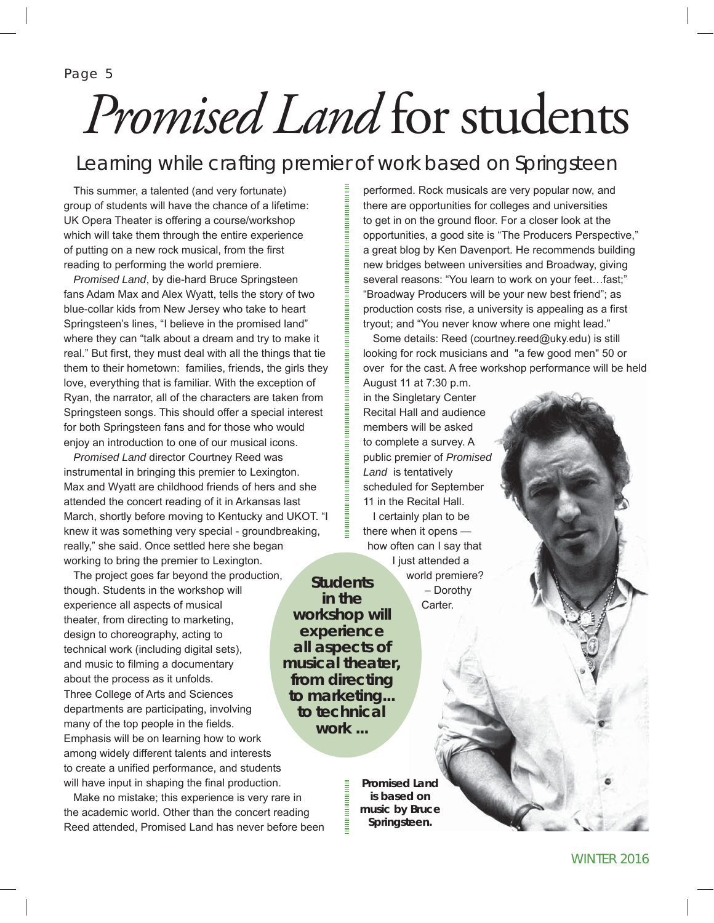Page 5

# *Promised Land* for students

#### Learning while crafting premier of work based on Springsteen

This summer, a talented (and very fortunate) group of students will have the chance of a lifetime: UK Opera Theater is offering a course/workshop which will take them through the entire experience of putting on a new rock musical, from the first reading to performing the world premiere.

*Promised Land*, by die-hard Bruce Springsteen fans Adam Max and Alex Wyatt, tells the story of two blue-collar kids from New Jersey who take to heart Springsteen's lines, "I believe in the promised land" where they can "talk about a dream and try to make it real." But first, they must deal with all the things that tie them to their hometown: families, friends, the girls they love, everything that is familiar. With the exception of Ryan, the narrator, all of the characters are taken from Springsteen songs. This should offer a special interest for both Springsteen fans and for those who would enjoy an introduction to one of our musical icons.

*Promised Land* director Courtney Reed was instrumental in bringing this premier to Lexington. Max and Wyatt are childhood friends of hers and she attended the concert reading of it in Arkansas last March, shortly before moving to Kentucky and UKOT. "I knew it was something very special - groundbreaking, really," she said. Once settled here she began working to bring the premier to Lexington.

The project goes far beyond the production, though. Students in the workshop will experience all aspects of musical theater, from directing to marketing, design to choreography, acting to technical work (including digital sets), and music to filming a documentary about the process as it unfolds. Three College of Arts and Sciences departments are participating, involving many of the top people in the fields. Emphasis will be on learning how to work among widely different talents and interests to create a unified performance, and students will have input in shaping the final production. **musical theater,** 

Make no mistake; this experience is very rare in the academic world. Other than the concert reading Reed attended, Promised Land has never before been performed. Rock musicals are very popular now, and there are opportunities for colleges and universities to get in on the ground floor. For a closer look at the opportunities, a good site is "The Producers Perspective," a great blog by Ken Davenport. He recommends building new bridges between universities and Broadway, giving several reasons: "You learn to work on your feet…fast;" "Broadway Producers will be your new best friend"; as production costs rise, a university is appealing as a first tryout; and "You never know where one might lead."

Some details: Reed (courtney.reed@uky.edu) is still looking for rock musicians and "a few good men" 50 or over for the cast. A free workshop performance will be held

August 11 at 7:30 p.m. in the Singletary Center Recital Hall and audience members will be asked to complete a survey. A public premier of *Promised Land* is tentatively scheduled for September 11 in the Recital Hall. I certainly plan to be there when it opens how often can I say that I just attended a world premiere? – Dorothy **Students in the** 

Carter.

*Promised Land* **is based on music by Bruce Springsteen.**

**workshop will experience all aspects of** 

**from directing to marketing... to technical work ...**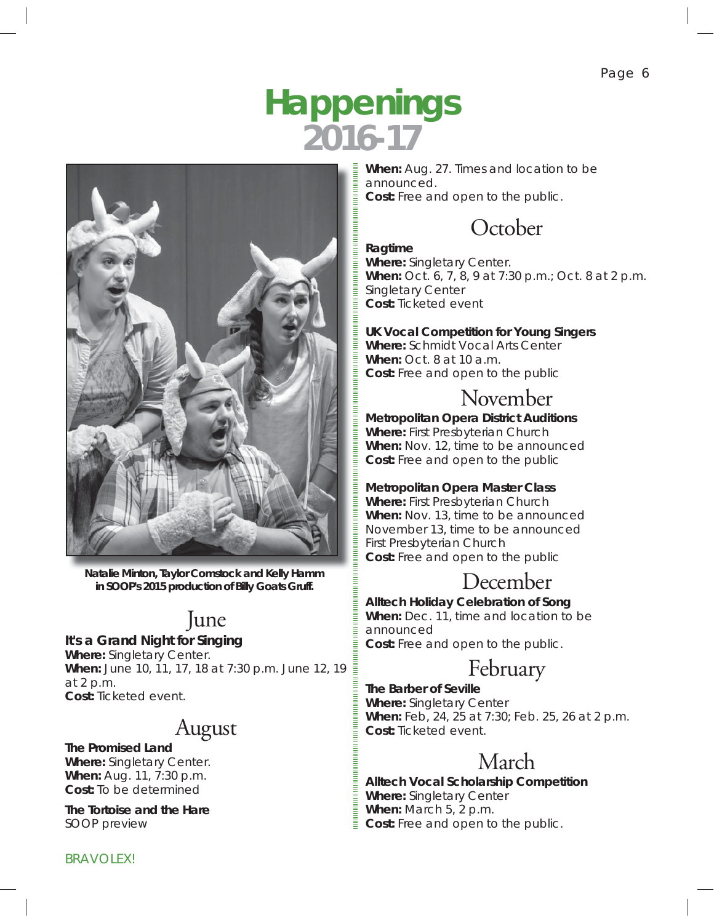## **Happenings 2016-17**

![](_page_5_Picture_2.jpeg)

**Natalie Minton, Taylor Comstock and Kelly Hamm in SOOP's 2015 production of** *Billy Goats Gruff***.**

## June

#### *It's a Grand Night for Singing*

**Where:** Singletary Center. **When:** June 10, 11, 17, 18 at 7:30 p.m. June 12, 19 at 2 p.m. **Cost:** Ticketed event.

## August

*The Promised Land* **Where:** Singletary Center. **When:** Aug. 11, 7:30 p.m. **Cost:** To be determined

*The Tortoise and the Hare SOOP preview*

**When:** Aug. 27. Times and location to be announced. **Cost:** Free and open to the public.

#### **October**

#### *Ragtime*

**Where:** Singletary Center. **When:** Oct. 6, 7, 8, 9 at 7:30 p.m.; Oct. 8 at 2 p.m. Singletary Center **Cost:** Ticketed event

#### **UK Vocal Competition for Young Singers**

**Where:** Schmidt Vocal Arts Center **When:** Oct. 8 at 10 a.m. **Cost:** Free and open to the public

#### November

*Metropolitan Opera District Auditions* **Where:** First Presbyterian Church **When:** Nov. 12, time to be announced **Cost:** Free and open to the public

#### **Metropolitan Opera Master Class**

**Where:** First Presbyterian Church **When:** Nov. 13, time to be announced November 13, time to be announced First Presbyterian Church **Cost:** Free and open to the public

#### December

**Alltech Holiday Celebration of Song**

**When:** Dec. 11, time and location to be announced **Cost:** Free and open to the public.

#### February

*The Barber of Seville* **Where:** Singletary Center **When:** Feb, 24, 25 at 7:30; Feb. 25, 26 at 2 p.m. **Cost:** Ticketed event.

### March

**Alltech Vocal Scholarship Competition Where:** Singletary Center **When:** March 5, 2 p.m. **Cost:** Free and open to the public.

**BRAVOLEX!**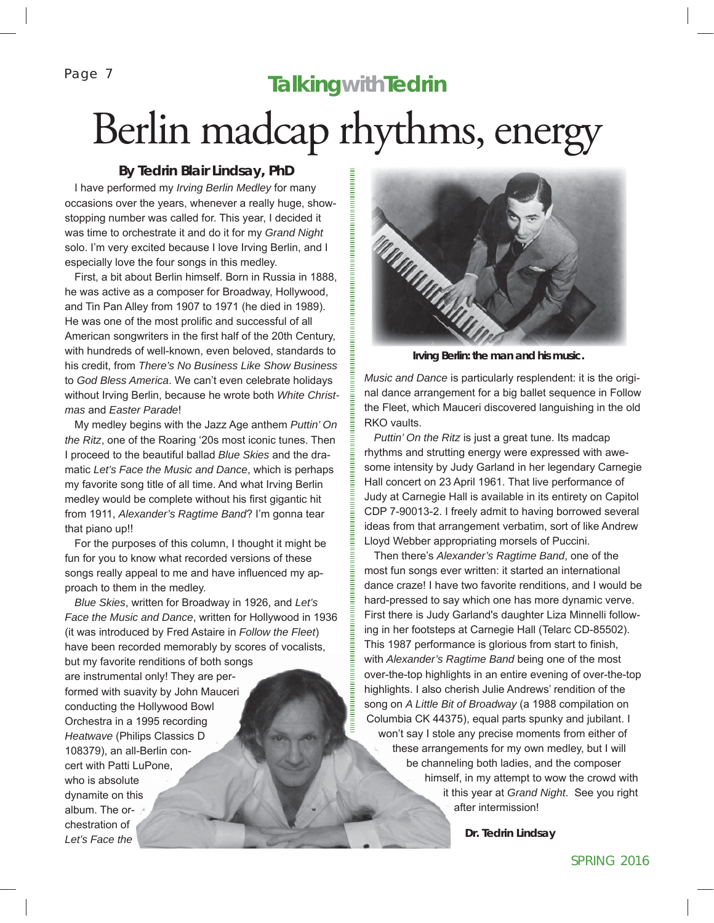Page 7

## **TalkingwithTedrin** Berlin madcap rhythms, energy

#### **By Tedrin Blair Lindsay, PhD**

I have performed my *Irving Berlin Medley* for many occasions over the years, whenever a really huge, showstopping number was called for. This year, I decided it was time to orchestrate it and do it for my *Grand Night* solo. I'm very excited because I love Irving Berlin, and I especially love the four songs in this medley.

First, a bit about Berlin himself. Born in Russia in 1888, he was active as a composer for Broadway, Hollywood, and Tin Pan Alley from 1907 to 1971 (he died in 1989). He was one of the most prolific and successful of all American songwriters in the first half of the 20th Century, with hundreds of well-known, even beloved, standards to his credit, from *There's No Business Like Show Business*  to *God Bless America*. We can't even celebrate holidays without Irving Berlin, because he wrote both *White Christmas* and *Easter Parade*!

My medley begins with the Jazz Age anthem *Puttin' On the Ritz*, one of the Roaring '20s most iconic tunes. Then I proceed to the beautiful ballad *Blue Skies* and the dramatic *Let's Face the Music and Dance*, which is perhaps my favorite song title of all time. And what Irving Berlin medley would be complete without his first gigantic hit from 1911, *Alexander's Ragtime Band*? I'm gonna tear that piano up!!

For the purposes of this column, I thought it might be fun for you to know what recorded versions of these songs really appeal to me and have influenced my approach to them in the medley.

*Blue Skies*, written for Broadway in 1926, and *Let's Face the Music and Dance*, written for Hollywood in 1936 (it was introduced by Fred Astaire in *Follow the Fleet*) have been recorded memorably by scores of vocalists, but my favorite renditions of both songs are instrumental only! They are performed with suavity by John Mauceri conducting the Hollywood Bowl Orchestra in a 1995 recording *Heatwave* (Philips Classics D 108379), an all-Berlin concert with Patti LuPone, who is absolute dynamite on this album. The orchestration of *Let's Face the* 

![](_page_6_Picture_8.jpeg)

**Irving Berlin: the man and his music.**

*Music and Dance* is particularly resplendent: it is the original dance arrangement for a big ballet sequence in Follow the Fleet, which Mauceri discovered languishing in the old RKO vaults.

*Puttin' On the Ritz* is just a great tune. Its madcap rhythms and strutting energy were expressed with awesome intensity by Judy Garland in her legendary Carnegie Hall concert on 23 April 1961. That live performance of Judy at Carnegie Hall is available in its entirety on Capitol CDP 7-90013-2. I freely admit to having borrowed several ideas from that arrangement verbatim, sort of like Andrew Lloyd Webber appropriating morsels of Puccini.

Then there's *Alexander's Ragtime Band*, one of the most fun songs ever written: it started an international dance craze! I have two favorite renditions, and I would be hard-pressed to say which one has more dynamic verve. First there is Judy Garland's daughter Liza Minnelli following in her footsteps at Carnegie Hall (Telarc CD-85502). This 1987 performance is glorious from start to finish, with *Alexander's Ragtime Band* being one of the most over-the-top highlights in an entire evening of over-the-top highlights. I also cherish Julie Andrews' rendition of the song on *A Little Bit of Broadway* (a 1988 compilation on Columbia CK 44375), equal parts spunky and jubilant. I won't say I stole any precise moments from either of these arrangements for my own medley, but I will be channeling both ladies, and the composer himself, in my attempt to wow the crowd with it this year at *Grand Night*. See you right after intermission!

**Dr. Tedrin Lindsay**